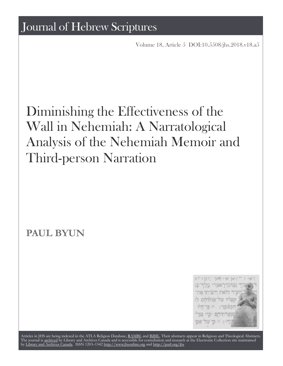Volume 18, Article 5 [DOI:10.5508/jhs.2018.v18.a5](http://dx.doi.org/10.5508/jhs.2018.v18.a5)

# Diminishing the Effectiveness of the Wall in Nehemiah: A Narratological Analysis of the Nehemiah Memoir and Third-person Narration

**PAUL BYUN**



Articles in JHS are being indexed in the ATLA Religion Database, [RAMBI,](http://web.nli.org.il/sites/nli/english/infochannels/catalogs/bibliographic-databases/rambi/pages/rambi.aspx) and [BiBIL](http://bibil.net/). Their abstracts appear in Religious and Theological Abstracts. The journal is [archived](http://epe.lac-bac.gc.ca/100/201/300/journal_hebrew/index.html) by Library and Archives Canada and is accessible for consultation and research at the Electronic Collection site maintained by [Library and Archives Canada.](http://collectionscanada.ca/electroniccollection/) ISSN 1203–1542 <http://www.jhsonline.org>and<http://purl.org/jhs>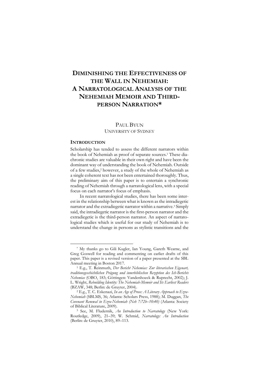# **DIMINISHING THE EFFECTIVENESS OF THE WALL IN NEHEMIAH: A NARRATOLOGICAL ANALYSIS OF THE NEHEMIAH MEMOIR AND THIRD-PERSON NARRATION\***

# PAUL BYUN UNIVERSITY OF SYDNEY

#### **INTRODUCTION**

**.** 

Scholarship has tended to assess the different narrators within the book of Nehemiah as proof of separate sources.<sup>1</sup> These diachronic studies are valuable in their own right and have been the dominant way of understanding the book of Nehemiah. Outside of a few studies,<sup>2</sup> however, a study of the whole of Nehemiah as a single coherent text has not been entertained thoroughly. Thus, the preliminary aim of this paper is to entertain a synchronic reading of Nehemiah through a narratological lens, with a special focus on each narrator's focus of emphasis.

In recent narratological studies, there has been some interest in the relationship between what is known as the intradiegetic narrator and the extradiegetic narrator within a narrative.<sup>3</sup> Simply said, the intradiegetic narrator is the first-person narrator and the extradiegetic is the third-person narrator. An aspect of narratological studies which is useful for our study of Nehemiah is to understand the change in persons as stylistic transitions and the

<sup>\*</sup> My thanks go to Gili Kugler, Ian Young, Gareth Wearne, and Greg Goswell for reading and commenting on earlier drafts of this paper. This paper is a revised version of a paper presented at the SBL Annual meeting in Boston 2017.

<sup>1</sup> E.g., T. Reinmuth, *Der Bericht Nehemias: Zur literarischen Eigenart, traditionsgeschichtlichen Prägung und innerbiblischen Rezeption des Ich-Berichts Nehemias* (OBO, 183; Göttingen: Vandenhoeck & Ruprecht, 2002); J. L. Wright, *Rebuilding Identity: The Nehemiah-Memoir and Its Earliest Readers* (BZAW, 348; Berlin: de Gruyter, 2004).

<sup>2</sup> E.g., T. C. Eskenazi, *In an Age of Prose: A Literary Approach to Ezra-Nehemiah* (SBLMS, 36; Atlanta: Scholars Press, 1988); M. Duggan, *The Covenant Renewal in Ezra-Nehemiah (Neh 7:72b*–*10:40)* (Atlanta: Society of Biblical Literature, 2009).

<sup>3</sup> See, M. Fludernik, *An Introduction to Narratology* (New York: Routledge, 2009), 21–39; W. Schmid, *Narratology: An Introduction* (Berlin: de Gruyter, 2010), 89–113.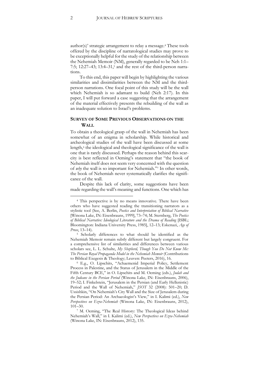author(s)' strategic arrangement to relay a message.<sup>4</sup> These tools offered by the discipline of narratological studies may prove to be exceptionally helpful for the study of the relationship between the Nehemiah Memoir (NM), generally regarded to be Neh 1:1– 7:5; 12:27–43; 13:4–31,<sup>5</sup> and the rest of the third-person narrations.

To this end, this paper will begin by highlighting the various similarities and dissimilarities between the NM and the thirdperson narrations. One focal point of this study will be the wall which Nehemiah is so adamant to build (Neh 2:17). In this paper, I will put forward a case suggesting that the arrangement of the material effectively presents the rebuilding of the wall as an inadequate solution to Israel's problems.

## **SURVEY OF SOME PREVIOUS OBSERVATIONS ON THE WALL**

To obtain a theological grasp of the wall in Nehemiah has been somewhat of an enigma in scholarship. While historical and archeological studies of the wall have been discussed at some length,<sup>6</sup> the ideological and theological significance of the wall is one that is rarely discussed. Perhaps the reason behind this scarcity is best reflected in Oeming's statement that "the book of Nehemiah itself does not seem very concerned with the question of *why* the wall is so important for Nehemiah."<sup>7</sup> In other words, the book of Nehemiah never systematically clarifies the significance of the wall.

Despite this lack of clarity, some suggestions have been made regarding the wall's meaning and functions. One which has

<sup>4</sup> This perspective is by no means innovative. There have been others who have suggested reading the transitioning narrators as a stylistic tool (See, A. Berlin, *Poetics and Interpretation of Biblical Narrative* [Winona Lake, IN: Eisenbrauns, 1999], 73–74; M. Sternberg, *The Poetics of Biblical Narrative: Ideological Literature and the Drama of Reading* [ISBL; Bloomington: Indiana University Press, 1985], 12–13; Eskenazi, *Age of Prose*, 13–14).

<sup>5</sup> Scholarly differences to what should be identified as the Nehemiah Memoir remain subtly different but largely congruent. For a comprehensive list of similarities and differences between various scholars see, L. L. Schulte, *My Shepherd, Though You Do Not Know Me: The Persian Royal Propaganda Model in the Nehemiah Memoir* (Contributions to Biblical Exegesis & Theology; Leuven: Peeters, 2016), 16.

<sup>6</sup> E.g., O. Lipschits, "Achaemenid Imperial Policy, Settlement Process in Palestine, and the Status of Jerusalem in the Middle of the Fifth Century BCE," in O. Lipschits and M. Oeming (eds.), *Judah and the Judeans in the Persian Period* (Winona Lake, IN: Eisenbrauns, 2006), 19–52; I. Finkelstein, "Jerusalem in the Persian (and Early Hellenistic) Period and the Wall of Nehemiah," *JSOT* 32 (2008): 501–20; D. Ussishkin, "On Nehemiah's City Wall and the Size of Jerusalem during the Persian Period: An Archaeologist's View," in I. Kalimi (ed.), *New Perspectives on Ezra-Nehemiah* (Winona Lake, IN: Eisenbrauns, 2012), 101–30.

<sup>7</sup> M. Oeming, "The Real History: The Theological Ideas behind Nehemiah's Wall," in I. Kalimi (ed.), *New Perspectives on Ezra-Nehemiah* (Winona Lake, IN: Eisenbrauns, 2012), 135.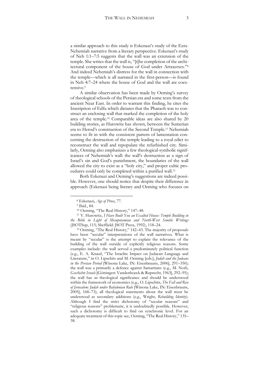a similar approach to this study is Eskenazi's study of the Ezra-Nehemiah narrative from a literary perspective. Eskenazi's study of Neh 1:1–7:5 suggests that the wall was an extension of the temple. She writes that the wall is, "[t]he completion of the architectural component of the house of God under Artaxerxes."<sup>8</sup> And indeed Nehemiah's distress for the wall in connection with the temple—which is all narrated in the first-person—is found in Neh 4:7–24 where the house of God and the wall are coextensive.<sup>9</sup>

A similar observation has been made by Oeming's survey of theological schools of the Persian era and some texts from the ancient Near East. In order to warrant this finding, he cites the Inscription of Edfu which dictates that the Pharaoh was to construct an enclosing wall that marked the completion of the holy area of the temple.<sup>10</sup> Comparable ideas are also shared by 20 building stories, as Hurowitz has shown, between the Sumerian era to Herod's construction of the Second Temple. <sup>11</sup> Nehemiah seems to fit in with the consistent pattern of lamentation concerning the destruction of the temple leading to a royal edict to reconstruct the wall and repopulate the refurbished city. Similarly, Oeming also emphasizes a few theological-symbolic significances of Nehemiah's wall: the wall's destruction as a sign of Israel's sin and God's punishment, the boundaries of the wall allowed the city to exist as a "holy city," and proper cultic procedures could only be completed within a purified wall. 12

Both Eskenazi and Oeming's suggestions are indeed possible. However, one should notice that despite their difference in approach (Eskenazi being literary and Oeming who focuses on

**.** 

<sup>12</sup> Oeming, "The Real History," 142–43. The majority of proposals have been "secular" interpretations of the wall narratives. What is meant by "secular" is the attempt to explain the relevance of the building of the wall outside of explicitly religious reasons. Some examples include: the wall served a predominately political function (e.g., E. A. Knauf, "The Israelite Impact on Judaean Language and Literature," in O. Lipschits and M. Oeming [eds.], *Judah and the Judeans in the Persian Period* [Winona Lake, IN: Eisenbrauns, 2006], 291–350); the wall was a primarily a defence against Samaritans (e.g., M. Noth, *Geschichte Israels* [Göttingen: Vandenhoeck & Ruprecht, 1963], 292–95); the wall has *no* theological significance and should be understood within the framework of economics (e.g., O. Lipschits, *The Fall and Rise of Jerusalem: Judah under Babylonian Rule* [Winona Lake, IN: Eisenbrauns, 2005], 168–73); all theological statements about the wall must be understood as secondary additions (e.g., Wright, *Rebuilding Identity*). Although I find the strict dichotomy of "secular reasons" and "religious reasons" problematic, it is undoubtedly possible. However, such a dichotomy is difficult to find on synchronic level. For an adequate treatment of this topic see, Oeming, "The Real History," 135– 38.

<sup>8</sup> Eskenazi, *Age of Prose*, 77.

<sup>&</sup>lt;sup>9</sup> Ibid., 84.

<sup>10</sup> Oeming, "The Real History," 147–48.

<sup>11</sup> V. Hurowitz, *I Have Built You an Exalted House: Temple Building in the Bible in Light of Mesopotamian and North-West Semitic Writings* (JSOTSup, 115; Sheffield: JSOT Press, 1992), 118–24.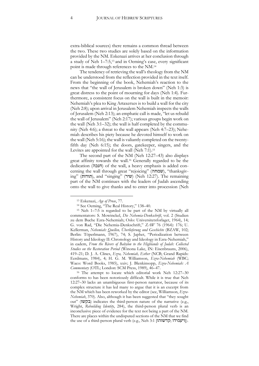extra-biblical sources) there remains a common thread between the two. These two studies are solely based on the information provided by the NM. Eskenazi arrives at her conclusion through a study of Neh 1–7:5,<sup>13</sup> and in Oeming's case, every significant point is made through references to the NM.<sup>14</sup>

The tendency of retrieving the wall's theology from the NM can be understood from the reflection provided in the text itself. From the beginning of the book, Nehemiah's reaction to the news that "the wall of Jerusalem is broken down" (Neh 1:3) is great distress to the point of mourning for days (Neh 1:4). Furthermore, a consistent focus on the wall is built in the memoir: Nehemiah's plea to King Artaxerxes is to build a wall for the city (Neh 2:8); upon arrival in Jerusalem Nehemiah inspects the walls of Jerusalem (Neh 2:13); an emphatic call is made, "let us rebuild the wall of Jerusalem" (Neh 2:17); various groups begin work on the wall (Neh 3:1–32); the wall is half completed by the community (Neh 4:6); a threat to the wall appears (Neh 4:7–23); Nehemiah describes his piety because he devoted himself to work on the wall (Neh 5:16); the wall is valiantly completed on the twentyfifth day (Neh 6:15); the doors, gatekeeper, singers, and the Levites are appointed for the wall (Neh 7:1).<sup>15</sup>

The second part of the NM (Neh 12:27–43) also displays great affinity towards the wall.<sup>16</sup> Generally regarded to be the dedication (חנכה) of the wall, a heavy emphasis is added concerning the wall through great "rejoicing" (שמחה), "thanksgiving" (תודות(, and "singing" (שיר) (Neh 12:27). The remaining part of the NM continues with the leaders of Judah ascending onto the wall to give thanks and to enter into procession (Neh

<sup>13</sup> Eskenazi, *Age of Prose*, 77.

<sup>14</sup> See Oeming, "The Real History," 138–40.

<sup>15</sup> Neh 1–7:5 is regarded to be part of the NM by virtually all commentators: S. Mowinckel, *Die Nehemia-Denkschrift*, vol. 2 (Studien zu dem Buche Ezra-Nehemiah; Oslo: Universitetsforlaget, 1964), 14; G. von Rad, "Die Nehemia-Denkschrift," *ZAW* 76 (1964): 176; U. Kellerman, *Nehemiah: Quellen, Überlieferung und Geschichte* (BZAW, 102; Berlin: Töperlmann, 1967), 74; S. Japhet, "Periodization between History and Ideology II: Chronology and Ideology in Ezra-Nehemiah,' in eadem, *From the Rivers of Babylon to the Highlands of Judah: Collected Studies on the Restoration Period* (Winona Lake, IN: Eisenbrauns, 2006), 419–21; D. J. A. Clines, *Ezra, Nehemiah, Esther* (NCB; Grand Rapids: Eerdmans, 1984), 4; H. G. M. Williamson, *Ezra-Nehemiah* (WBC; Waco: Word Books, 1985), xxiv; J. Blenkinsopp, *Ezra-Nehemiah: A Commentary* (OTL; London: SCM Press, 1989), 46–47.

<sup>16</sup> The attempt to locate which editorial work Neh 12:27–30 conforms to has been notoriously difficult. While it is true that Neh 12:27–30 lacks an unambiguous first-person narrator, because of its complex structure it has led many to argue that it is an excerpt from the NM which has been reworked by the editor (see, Williamson, *Ezra-Nehemiah*, 370). Also, although it has been suggested that "they sought out" (בקשו) indicates the third-person nature of the narrative (e.g., Wright, *Rebuilding Identity*, 284), the third-person plural verb is an inconclusive piece of evidence for the text not being a part of the NM. There are places within the undisputed sections of the NM that we find the use of a third-person plural verb (e.g., Neh 3:1 [קדשוהו].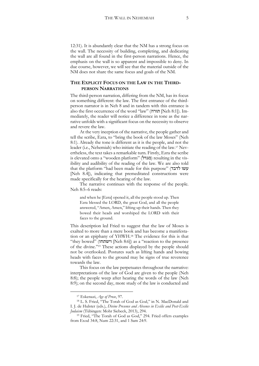12:31). It is abundantly clear that the NM has a strong focus on the wall. The necessity of building, completing, and dedicating the wall are all found in the first-person narrations. Hence, the emphasis on the wall is so apparent and impossible to deny. In due course, however, we will see that the material outside of the NM does not share the same focus and goals of the NM.

# **THE EXPLICIT FOCUS ON THE LAW IN THE THIRD-PERSON NARRATIONS**

The third-person narration, differing from the NM, has its focus on something different: the law. The first entrance of the thirdperson narrator is in Neh 8 and in tandem with this entrance is also the first occurrence of the word "law" (תורה] Neh 8:1]). Immediately, the reader will notice a difference in tone as the narrative unfolds with a significant focus on the necessity to observe and revere the law.

At the very inception of the narrative, the people gather and tell the scribe, Ezra, to "bring the book of the law Moses" (Neh 8:1). Already the tone is different as it is the people, and not the leader (i.e., Nehemiah) who initiate the reading of the law.<sup>17</sup> Nevertheless, the text takes a remarkable turn. Firstly, Ezra the scribe is elevated onto a "wooden platform" (מגדל) resulting in the visibility and audibility of the reading of the law. We are also told that the platform "had been made for this purpose" (עשו לדבד [Neh 8.4]), indicating that premeditated constructions were made specifically for the hearing of the law.

The narrative continues with the response of the people. Neh 8:5–6 reads:

and when he [Ezra] opened it, all the people stood up. Then Ezra blessed the LORD, the great God, and all the people answered, "Amen, Amen," lifting up their hands. Then they bowed their heads and worshiped the LORD with their faces to the ground.

This description led Fried to suggest that the law of Moses is exalted to more than a mere book and has become a manifestation or an epiphany of YHWH.<sup>18</sup> The evidence for this is that "they bowed" (וישתחו] Neh 8:6]) as a "reaction to the presence of the divine."<sup>19</sup> These actions displayed by the people should not be overlooked. Postures such as lifting hands and bowing heads with faces to the ground may be signs of true reverence towards the law.

This focus on the law perpetuates throughout the narrative: interpretations of the law of God are given to the people (Neh 8:8); the people weep after hearing the words of the law (Neh 8:9); on the second day, more study of the law is conducted and

<sup>17</sup> Eskenazi, *Age of Prose*, 97.

<sup>18</sup> L. S. Fried, "The Torah of God as God," in N. MacDonald and I. J. de Hulster (eds.), *Divine Presence and Absence in Exilic and Post-Exilic Judaism* (Tübingen: Mohr Siebeck, 2013), 294.

<sup>19</sup> Fried, "The Torah of God as God," 294. Fried offers examples from Exod 34:8, Num 22:31, and 1 Sam 24:9.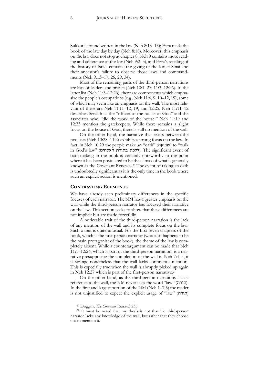Sukkot is found written in the law (Neh 8:13–15); Ezra reads the book of the law day by day (Neh 8:18). Moreover, this emphasis on the law does not stop at chapter 8. Neh 9 contains more reading and adherence of the law (Neh 9:2–3), and Ezra's retelling of the history of Israel contains the giving of the law at Sinai and their ancestor's failure to observe those laws and commandments (Neh 9:13–17, 26, 29, 34).

Most of the remaining parts of the third-person narrations are lists of leaders and priests (Neh 10:1–27; 11:3–12:26). In the latter list (Neh 11:3–12:26), there are components which emphasize the people's occupations (e.g., Neh 11:6, 9, 10–12, 19), some of which may seem like an emphasis on the wall. The most relevant of these are Neh 11:11–12, 19, and 12:25. Neh 11:11–12 describes Seraiah as the "officer of the house of God" and the associates who "did the work of the house." Neh 11:19 and 12:25 mention the gatekeepers. While there remains a slight focus on the house of God, there is still no mention of the wall.

On the other hand, the narrative that exists between the two lists (Neh 10:28–11:2) exhibits a strong focus on the law. In fact, in Neh 10:29 the people make an "oath" (שבועה to "walk in God's law" (ללכת בתורת האלהים). The significant event of oath-making in the book is certainly noteworthy to the point where it has been postulated to be the climax of what is generally known as the Covenant Renewal.<sup>20</sup> The event of taking an oath is undoubtedly significant as it is the only time in the book where such an explicit action is mentioned.

#### **CONTRASTING ELEMENTS**

We have already seen preliminary differences in the specific focuses of each narrator. The NM has a greater emphasis on the wall while the third-person narrator has focused their narrative on the law. This section seeks to show that these differences are not implicit but are made forcefully.

A noticeable trait of the third-person narration is the lack of any mention of the wall and its complete focus on the law. Such a trait is quite unusual. For the first seven chapters of the book, which is the first-person narrator (who also happens to be the main protagonist of the book), the theme of the law is completely absent. While a counterargument can be made that Neh 11:1–12:26, which is part of the third-person narration, is a narrative presupposing the completion of the wall in Neh 7:4–5, it is strange nonetheless that the wall lacks continuous mention. This is especially true when the wall is abruptly picked up again in Neh 12:27 which is part of the first-person narrative.<sup>21</sup>

On the other hand, as the third-person narrations lack a reference to the wall, the NM never uses the word "law" (תורה). In the first and largest portion of the NM (Neh 1–7:5) the reader is not unjustified to expect the explicit usage of "law" (תורה)

<sup>20</sup> Duggan, *The Covenant Renewal*, 235.

<sup>21</sup> It must be noted that my thesis is not that the third-person narrator lacks any knowledge of the wall, but rather that they choose not to mention it.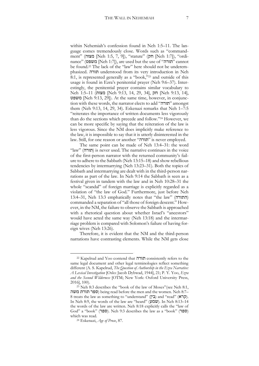within Nehemiah's confession found in Neh 1:5–11. The language comes tremendously close. Words such as "commandment" (מצוה] Neh 1:5, 7, 9]), "statute" (חק] Neh 1:7]), "ordinance" (משפט] Neh 1:7]), are used but the use of "תורה "cannot be found.<sup>22</sup> The lack of the "law" here should not be underemphasized. תורה understood from its very introduction in Neh 8:1, is represented generally as a "book,"<sup>23</sup> and outside of this usage is found in Ezra's penitential prayer (Neh 9:6–37). Interestingly, the penitential prayer contains similar vocabulary to Neh 1:5–11 (מצות] Neh 9:13, 14, 29, 34], חק] Neh 9:13, 14], משפט] Neh 9:13, 29]). At the same time, however, in conjunction with these words, the narrator elects to add "תורה "amongst them (Neh 9:13, 14, 29, 34). Eskenazi remarks that Neh 1–7:5 "reiterates the importance of written documents less vigorously than do the sections which precede and follow."<sup>24</sup> However, we can be more specific by saying that the reiteration of the law is less vigorous. Since the NM does implicitly make reference to the law, it is impossible to say that it is utterly disinterested in the law. Still, for one reason or another "תורה" is never employed.

The same point can be made of Neh 13:4–31: the word "law" (תורה) is never used. The narrative continues in the voice of the first-person narrator with the returned community's failure to adhere to the Sabbath (Neh 13:15–18) and show rebellious tendencies by intermarrying (Neh 13:23–31). Both the topics of Sabbath and intermarrying are dealt with in the third-person narrations as part of the law. In Neh 9:14 the Sabbath is seen as a festival given in tandem with the law and in Neh 10:28–31 the whole "scandal" of foreign marriage is explicitly regarded as a violation of "the law of God." Furthermore, just before Neh 13:4–31, Neh 13:3 emphatically notes that "the law" (התורה ( commanded a separation of "all those of foreign descent." However, in the NM, the failure to observe the Sabbath is approached with a rhetorical question about whether Israel's "ancestors" would have acted the same way (Neh 13:18) and the intermarriage problem is compared with Solomon's failure of having foreign wives (Neh 13:26).

Therefore, it is evident that the NM and the third-person narrations have contrasting elements. While the NM gets close

<sup>22</sup> Kapelrud and Yoo contend that תורה consistently refers to the same legal document and other legal terminologies reflect something different (A. S. Kapelrud, *The Question of Authorship in the Ezra Narrative: A Lexical Investigation* [Oslo: Jacob Dybwad, 1944], 21; P. Y. Yoo, *Ezra and the Second Wilderness* [OTM; New York: Oxford University Press, 2016], 100).

<sup>&</sup>lt;sup>23</sup> Neh 8:3 describes the "book of the law of Moses"(see Neh 8:1, משה תורת ספר (being read before the men and the women. Neh 8:7– 8 treats the law as something to "understand" (בין) and "read" (קרא). In Neh 8:9, the words of the law are "heard" (שמע). In Neh 8:13-14 the words of the law are written. Neh 8:18 explicitly calls the "law of God" a "book" (ספר). Neh 9:3 describes the law as a "book" (ספר) which was read.

<sup>24</sup> Eskenazi, *Age of Prose*, 87.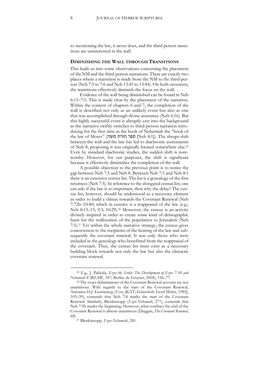to mentioning the law, it never does, and the third-person narrations are uninterested in the wall.

#### **DIMINISHING THE WALL THROUGH TRANSITIONS**

This leads us into some observations concerning the placement of the NM and the third-person narrations. There are exactly two places where a transition is made from the NM to the third-person (Neh 7:5 to 7:6 and Neh 13:43 to 13:44). On both occasions, the transitions effectively diminish the focus on the wall.

Evidence of the wall being diminished can be found in Neh 6:15–7:5. This is made clear by the placement of the narration. Within the content of chapters 6 and 7, the completion of the wall is described not only as an unlikely event but also as one that was accomplished through divine assistance (Neh 6:16). But this highly successful event is abruptly cast into the background as the narrative swiftly switches to third-person narration introducing for the first time in the book of Nehemiah the "book of the law of Moses" (מפר תורת ספר תורת ספר ספר Deh 8:1]). The abrupt shift between the wall and the law has led to diachronic assessments of Neh 8, proposing it was originally located somewhere else.<sup>25</sup> Even by standard diachronic studies, the sudden shift is noteworthy. However, for our purposes, the shift is significant because it effectively diminishes the completion of the wall.

A possible objection to the previous point is to notice the gap between Neh 7:5 and Neh 8. Between Neh 7:5 and Neh 8:1 there is an extensive census list. The list is a genealogy of the first returnees (Neh 7:5). In reference to the elongated census list, one can ask: if the law is so important, then why the delay? The census list, however, should be understood as a necessary element in order to build a climax towards the Covenant Renewal (Neh 7:72b–10:40) which in essence is a reappraisal of the law (e.g., Neh 8:13-15; 9:3; 10:29).<sup>26</sup> Moreover, the census is an activity divinely inspired in order to create some kind of demographic basis for the reallocation of the population to Jerusalem (Neh 7:5).<sup>27</sup> Yet within the whole narrative strategy, the census gives concreteness to the recipients of the hearing of the law and subsequently the covenant renewal. It was only those who were included in the genealogy who benefitted from the reappraisal of the covenant. Thus, the census list must exist as a necessary building block towards not only the law but also the climactic covenant renewal.

<sup>25</sup> E.g., J. Pakkala, *Ezra the Scribe: The Development of Ezra 7-10 and Nehemiah 8* (BZAW, 347; Berlin: de Gruyter, 2004), 136–77.

<sup>26</sup> The exact delimitations of the Covenant Renewal account are not unanimous. With regards to the start of the Covenant Renewal, Antonius H.J. Gunneweg (*Esra*, [KAT; Gütersloh: Gerd Mohn, 1985], 103–39), contends that Neh 7:4 marks the start of the Covenant Renewal. Similarly, Blenkinsopp (*Ezra-Nehemiah*, 277), contends that Neh 7:5b marks the beginning. However, what confines the end of the Covenant Renewal is almost unanimous (Duggan, *The Covenant Renewal*, 68).

<sup>27</sup> Blenkinsopp, *Ezra-Nehemiah*, 281.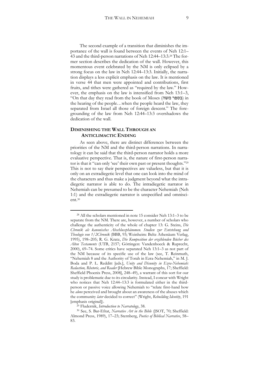The second example of a transition that diminishes the importance of the wall is found between the events of Neh 12:1– 43 and the third-person narrations of Neh 12:44–13:3.<sup>28</sup> The former section describes the dedication of the wall. However, this momentous event celebrated by the NM is only eclipsed by a strong focus on the law in Neh 12:44–13:3. Initially, the narration displays a less explicit emphasis on the law. It is mentioned in verse 44 that men were appointed and contributions, first fruits, and tithes were gathered as "required by the law." However, the emphasis on the law is intensified from Neh 13:1–3, "On that day they read from the book of Moses (בספר משה) in the hearing of the people…when the people heard the law, they separated from Israel all those of foreign descent." The foregrounding of the law from Neh 12:44–13:3 overshadows the dedication of the wall.

## **DIMINISHING THE WALL THROUGH AN ANTICLIMACTIC ENDING**

**.** 

As seen above, there are distinct differences between the priorities of the NM and the third-person narrations. In narratology it can be said that the third-person narrator holds a more evaluative perspective. That is, the nature of first-person narrator is that it "can only 'see' their own past or present thoughts."<sup>29</sup> This is not to say their perspectives are valueless, but that it is only on an extradiegetic level that one can look into the mind of the characters and thus make a judgment beyond what the intradiegetic narrator is able to do. The intradiegetic narrator in Nehemiah can be presumed to be the character Nehemiah (Neh 1:1) and the extradiegetic narrator is unspecified and omniscient.<sup>30</sup>

<sup>28</sup> All the scholars mentioned in note 15 consider Neh 13:1–3 to be separate from the NM. There are, however, a number of scholars who challenge the authenticity of the whole of chapter 13: G. Steins, *Die Chronik als kanonisches Abschlussphänomen. Studien zur Entstehung und Theologie von 1/2Chronik* (BBB, 93; Weinheim: Beltz Athenäum Verlag, 1995), 198–205; R. G. Kratz, *Die Komposition der erzählenden Bücher des Alten Testaments* (UTB, 2157; Göttingen: Vandenhoeck & Ruprecht, 2000), 69–74. Some critics have separated Neh 13:1–3 as not part of the NM because of its specific use of the law (see, T. Reinmuth, "Nehemiah 8 and the Authority of Torah in Ezra-Nehemiah," in M. J. Boda and P. L. Redditt [eds.], *Unity and Disunity in Ezra-Nehemiah: Redaction, Rhetoric, and Reader* [Hebrew Bible Monographs, 17; Sheffield: Sheffield Phoenix Press, 2008], 248–49), a warrant of this sort for our study is problematic due to its circularity. Instead, I concur with Wright who notices that Neh 12:44–13:3 is formulated either in the thirdperson or passive voice allowing Nehemiah to "relate first-hand how he *alone* perceived and brought about an awareness of the abuses which the community *later* decided to correct" (Wright, *Rebuilding Identity*, 191 [emphasis original]).

<sup>29</sup> Fludernik, *Introduction to Narratology*, 38.

<sup>30</sup> See, S. Bar-Efrat, *Narrative Art in the Bible* (JSOT, 70; Sheffield: Almond Press, 1989), 17–23; Sternberg, *Poetics of Biblical Narrative*, 58– 83.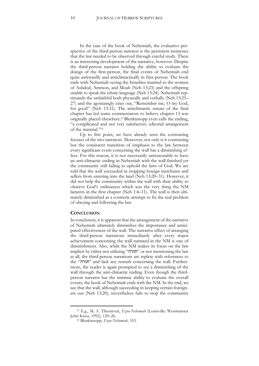In the case of the book of Nehemiah, the evaluative perspective of the third-person narrator is the persistent insistence that the law needed to be observed through careful study. There is an interesting development of the narrative, however. Despite the third-person narrator holding the ability to evaluate the doings of the first-person, the final events of Nehemiah end quite awkwardly and anticlimactically in first-person. The book ends with Nehemiah seeing the Israelites married to the women of Ashdod, Ammon, and Moab (Neh 13:23) and the offspring unable to speak the ethnic language (Neh 13:24). Nehemiah reprimands the unfaithful both physically and verbally (Neh 13:25– 27) and the agonizingly cries out, "Remember me, O my God, for good" (Neh 13:31). The anticlimactic nature of the final chapter has led some commentators to believe chapter 13 was originally placed elsewhere.31Blenkinsopp even calls the ending, "a complicated and not very satisfactory editorial arrangement of the material."<sup>32</sup>

Up to this point, we have already seen the contrasting focuses of the two narrators. Moreover, not only is it contrasting but the consistent transition of emphasis to the law between every significant event concerning the wall has a diminishing effect. For this reason, it is not necessarily unreasonable to have an anti-climactic ending in Nehemiah with the wall finished yet the community still failing to uphold the laws of God. We are told that the wall succeeded in stopping foreign merchants and sellers from entering into the land (Neh 13:20–31). However, it did not help the community within the wall with their ability to observe God's ordinances which was the very thing the NM laments in the first chapter (Neh 1:4–11). The wall is then ultimately diminished as a cosmetic attempt to fix the real problem of obeying and following the law.

#### **CONCLUSION**

**.** 

In conclusion, it is apparent that the arrangement of the narrative of Nehemiah ultimately diminishes the importance and anticipated effectiveness of the wall. The narrative effect of arranging the third-person narrations immediately after every major achievement concerning the wall narrated in the NM is one of diminishment. Also, while the NM makes its focus on the law implicit by either not utilizing "תורה "or not mentioning the law at all, the third-person narrations are replete with references to the "תורה" and lack any remark concerning the wall. Furthermore, the reader is again prompted to see a diminishing of the wall through the anti-climactic ending. Even though the thirdperson narrator has the intrinsic ability to evaluate the overall events, the book of Nehemiah ends with the NM. In the end, we see that the wall, although succeeding in keeping certain foreigners out (Neh 13:20), nevertheless fails to stop the community

<sup>31</sup> E.g., M. A. Throntveit, *Ezra-Nehemiah* (Louisville: Westminster John Knox, 1992), 120–26.

<sup>32</sup> Blenkinsopp, *Ezra-Nehemiah*, 353.